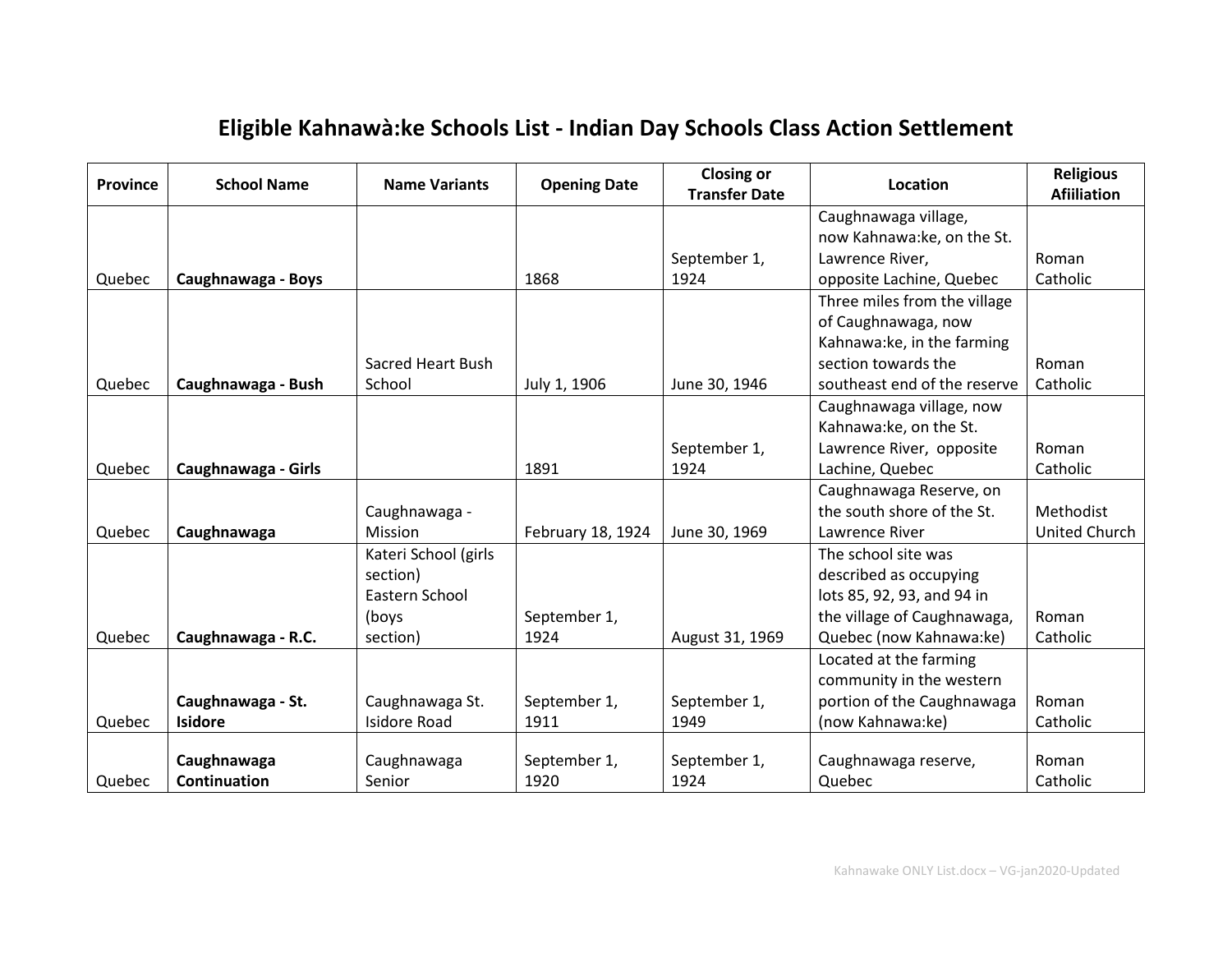## **Eligible Kahnawà:ke Schools List - Indian Day Schools Class Action Settlement**

| <b>Province</b> | <b>School Name</b>  | <b>Name Variants</b>     | <b>Opening Date</b> | <b>Closing or</b><br><b>Transfer Date</b> | Location                     | <b>Religious</b><br><b>Afiiliation</b> |
|-----------------|---------------------|--------------------------|---------------------|-------------------------------------------|------------------------------|----------------------------------------|
|                 |                     |                          |                     |                                           | Caughnawaga village,         |                                        |
|                 |                     |                          |                     |                                           | now Kahnawa:ke, on the St.   |                                        |
|                 |                     |                          |                     | September 1,                              | Lawrence River,              | Roman                                  |
| Quebec          | Caughnawaga - Boys  |                          | 1868                | 1924                                      | opposite Lachine, Quebec     | Catholic                               |
|                 |                     |                          |                     |                                           | Three miles from the village |                                        |
|                 |                     |                          |                     |                                           | of Caughnawaga, now          |                                        |
|                 |                     |                          |                     |                                           | Kahnawa:ke, in the farming   |                                        |
|                 |                     | <b>Sacred Heart Bush</b> |                     |                                           | section towards the          | Roman                                  |
| Quebec          | Caughnawaga - Bush  | School                   | July 1, 1906        | June 30, 1946                             | southeast end of the reserve | Catholic                               |
|                 |                     |                          |                     |                                           | Caughnawaga village, now     |                                        |
|                 |                     |                          |                     |                                           | Kahnawa:ke, on the St.       |                                        |
|                 |                     |                          |                     | September 1,                              | Lawrence River, opposite     | Roman                                  |
| Quebec          | Caughnawaga - Girls |                          | 1891                | 1924                                      | Lachine, Quebec              | Catholic                               |
|                 |                     |                          |                     |                                           | Caughnawaga Reserve, on      |                                        |
|                 |                     | Caughnawaga -            |                     |                                           | the south shore of the St.   | Methodist                              |
| Quebec          | Caughnawaga         | Mission                  | February 18, 1924   | June 30, 1969                             | Lawrence River               | United Church                          |
|                 |                     | Kateri School (girls     |                     |                                           | The school site was          |                                        |
|                 |                     | section)                 |                     |                                           | described as occupying       |                                        |
|                 |                     | Eastern School           |                     |                                           | lots 85, 92, 93, and 94 in   |                                        |
|                 |                     | (boys                    | September 1,        |                                           | the village of Caughnawaga,  | Roman                                  |
| Quebec          | Caughnawaga - R.C.  | section)                 | 1924                | August 31, 1969                           | Quebec (now Kahnawa:ke)      | Catholic                               |
|                 |                     |                          |                     |                                           | Located at the farming       |                                        |
|                 |                     |                          |                     |                                           | community in the western     |                                        |
|                 | Caughnawaga - St.   | Caughnawaga St.          | September 1,        | September 1,                              | portion of the Caughnawaga   | Roman                                  |
| Quebec          | <b>Isidore</b>      | <b>Isidore Road</b>      | 1911                | 1949                                      | (now Kahnawa:ke)             | Catholic                               |
|                 |                     |                          |                     |                                           |                              |                                        |
|                 | Caughnawaga         | Caughnawaga              | September 1,        | September 1,                              | Caughnawaga reserve,         | Roman                                  |
| Quebec          | <b>Continuation</b> | Senior                   | 1920                | 1924                                      | Quebec                       | Catholic                               |